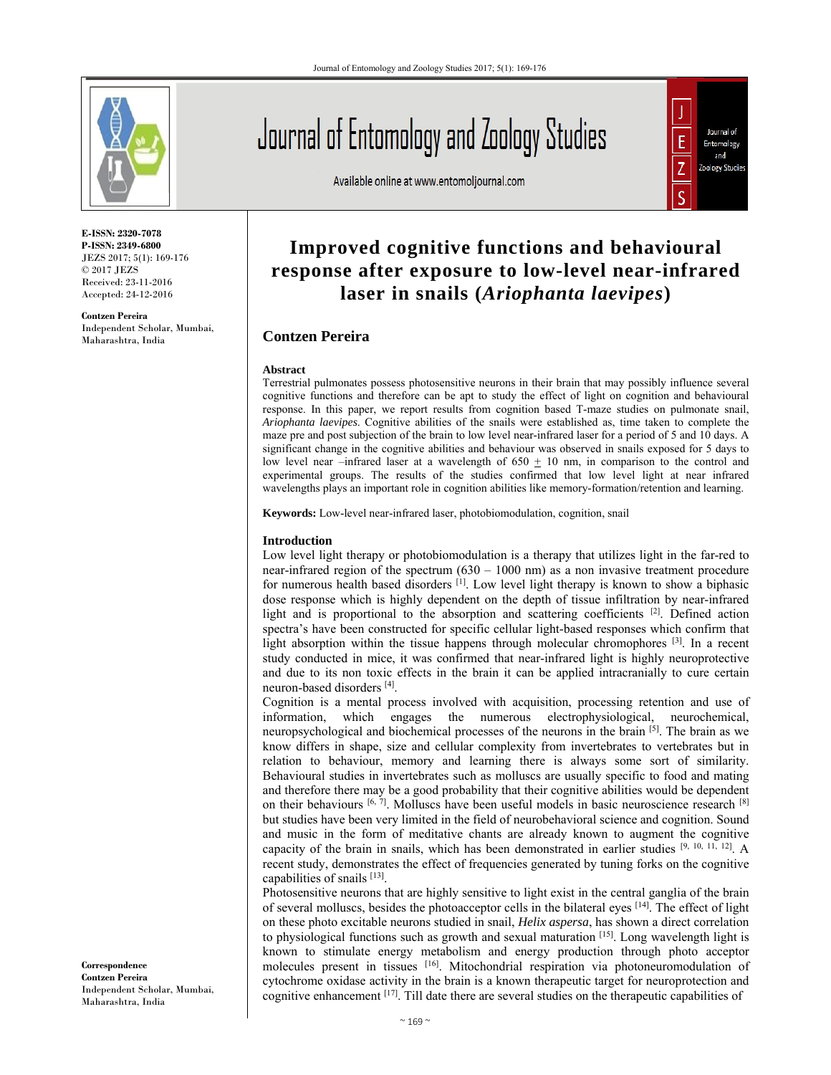

**E-ISSN: 2320-7078 P-ISSN: 2349-6800** JEZS 2017; 5(1): 169-176 © 2017 JEZS Received: 23-11-2016 Accepted: 24-12-2016

**Contzen Pereira**  Independent Scholar, Mumbai, Maharashtra, India

Journal of Entomology and Zoology Studies

Available online at www.entomoljournal.com



# **Improved cognitive functions and behavioural response after exposure to low-level near-infrared laser in snails (***Ariophanta laevipes***)**

# **Contzen Pereira**

#### **Abstract**

Terrestrial pulmonates possess photosensitive neurons in their brain that may possibly influence several cognitive functions and therefore can be apt to study the effect of light on cognition and behavioural response. In this paper, we report results from cognition based T-maze studies on pulmonate snail, *Ariophanta laevipes*. Cognitive abilities of the snails were established as, time taken to complete the maze pre and post subjection of the brain to low level near-infrared laser for a period of 5 and 10 days. A significant change in the cognitive abilities and behaviour was observed in snails exposed for 5 days to low level near –infrared laser at a wavelength of  $650 \pm 10$  nm, in comparison to the control and experimental groups. The results of the studies confirmed that low level light at near infrared wavelengths plays an important role in cognition abilities like memory-formation/retention and learning.

**Keywords:** Low-level near-infrared laser, photobiomodulation, cognition, snail

# **Introduction**

Low level light therapy or photobiomodulation is a therapy that utilizes light in the far-red to near-infrared region of the spectrum  $(630 - 1000)$  nm as a non invasive treatment procedure for numerous health based disorders  $\left[1\right]$ . Low level light therapy is known to show a biphasic dose response which is highly dependent on the depth of tissue infiltration by near-infrared light and is proportional to the absorption and scattering coefficients  $[2]$ . Defined action spectra's have been constructed for specific cellular light-based responses which confirm that light absorption within the tissue happens through molecular chromophores  $[3]$ . In a recent study conducted in mice, it was confirmed that near-infrared light is highly neuroprotective and due to its non toxic effects in the brain it can be applied intracranially to cure certain neuron-based disorders [4].

Cognition is a mental process involved with acquisition, processing retention and use of information, which engages the numerous electrophysiological, neurochemical, neuropsychological and biochemical processes of the neurons in the brain [5]. The brain as we know differs in shape, size and cellular complexity from invertebrates to vertebrates but in relation to behaviour, memory and learning there is always some sort of similarity. Behavioural studies in invertebrates such as molluscs are usually specific to food and mating and therefore there may be a good probability that their cognitive abilities would be dependent on their behaviours  $[6, 7]$ . Molluscs have been useful models in basic neuroscience research  $[8]$ but studies have been very limited in the field of neurobehavioral science and cognition. Sound and music in the form of meditative chants are already known to augment the cognitive capacity of the brain in snails, which has been demonstrated in earlier studies [9, 10, 11, 12]. A recent study, demonstrates the effect of frequencies generated by tuning forks on the cognitive capabilities of snails [13].

Photosensitive neurons that are highly sensitive to light exist in the central ganglia of the brain of several molluscs, besides the photoacceptor cells in the bilateral eyes [14]. The effect of light on these photo excitable neurons studied in snail, *Helix aspersa*, has shown a direct correlation to physiological functions such as growth and sexual maturation [15]. Long wavelength light is known to stimulate energy metabolism and energy production through photo acceptor molecules present in tissues [16]. Mitochondrial respiration via photoneuromodulation of cytochrome oxidase activity in the brain is a known therapeutic target for neuroprotection and cognitive enhancement  $[17]$ . Till date there are several studies on the therapeutic capabilities of

**Correspondence Contzen Pereira**  Independent Scholar, Mumbai, Maharashtra, India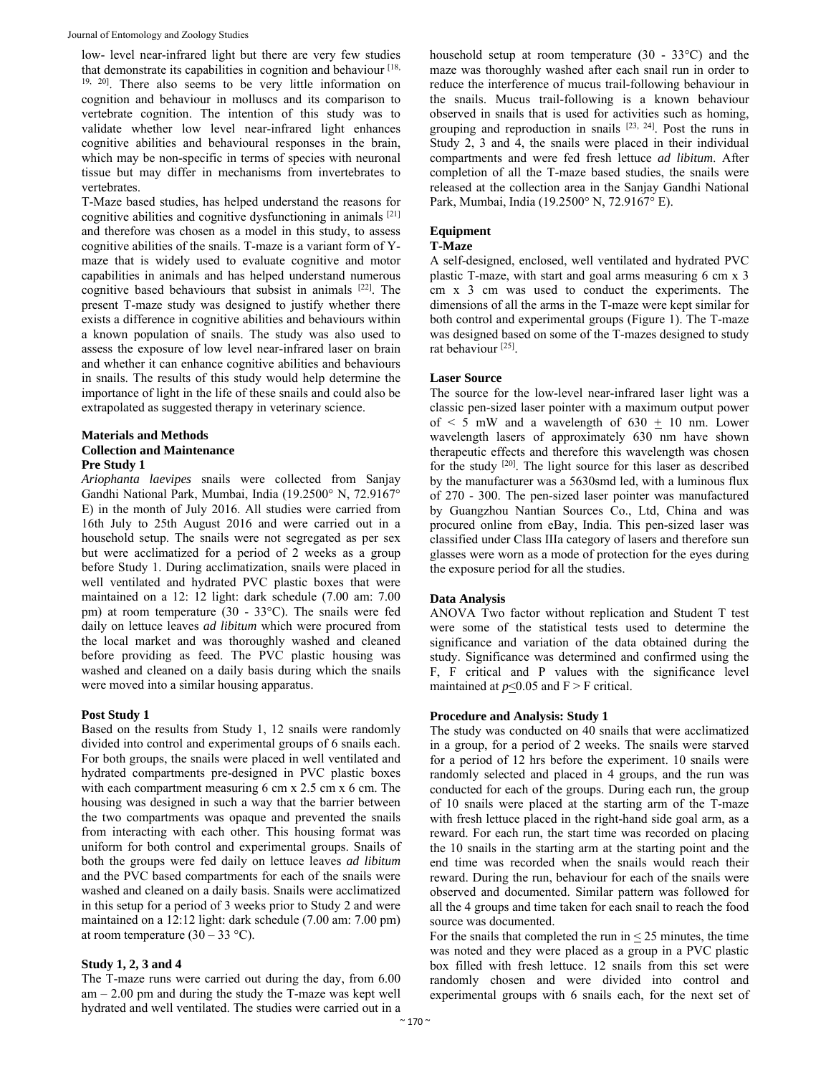low- level near-infrared light but there are very few studies that demonstrate its capabilities in cognition and behaviour [18, 19, 20]. There also seems to be very little information on cognition and behaviour in molluscs and its comparison to vertebrate cognition. The intention of this study was to validate whether low level near-infrared light enhances cognitive abilities and behavioural responses in the brain, which may be non-specific in terms of species with neuronal tissue but may differ in mechanisms from invertebrates to vertebrates.

T-Maze based studies, has helped understand the reasons for cognitive abilities and cognitive dysfunctioning in animals [21] and therefore was chosen as a model in this study, to assess cognitive abilities of the snails. T-maze is a variant form of Ymaze that is widely used to evaluate cognitive and motor capabilities in animals and has helped understand numerous cognitive based behaviours that subsist in animals [22]. The present T-maze study was designed to justify whether there exists a difference in cognitive abilities and behaviours within a known population of snails. The study was also used to assess the exposure of low level near-infrared laser on brain and whether it can enhance cognitive abilities and behaviours in snails. The results of this study would help determine the importance of light in the life of these snails and could also be extrapolated as suggested therapy in veterinary science.

# **Materials and Methods Collection and Maintenance Pre Study 1**

*Ariophanta laevipes* snails were collected from Sanjay Gandhi National Park, Mumbai, India (19.2500° N, 72.9167° E) in the month of July 2016. All studies were carried from 16th July to 25th August 2016 and were carried out in a household setup. The snails were not segregated as per sex but were acclimatized for a period of 2 weeks as a group before Study 1. During acclimatization, snails were placed in well ventilated and hydrated PVC plastic boxes that were maintained on a 12: 12 light: dark schedule (7.00 am: 7.00 pm) at room temperature (30 - 33°C). The snails were fed daily on lettuce leaves *ad libitum* which were procured from the local market and was thoroughly washed and cleaned before providing as feed. The PVC plastic housing was washed and cleaned on a daily basis during which the snails were moved into a similar housing apparatus.

#### **Post Study 1**

Based on the results from Study 1, 12 snails were randomly divided into control and experimental groups of 6 snails each. For both groups, the snails were placed in well ventilated and hydrated compartments pre-designed in PVC plastic boxes with each compartment measuring 6 cm x 2.5 cm x 6 cm. The housing was designed in such a way that the barrier between the two compartments was opaque and prevented the snails from interacting with each other. This housing format was uniform for both control and experimental groups. Snails of both the groups were fed daily on lettuce leaves *ad libitum*  and the PVC based compartments for each of the snails were washed and cleaned on a daily basis. Snails were acclimatized in this setup for a period of 3 weeks prior to Study 2 and were maintained on a 12:12 light: dark schedule (7.00 am: 7.00 pm) at room temperature  $(30 - 33 \degree C)$ .

# **Study 1, 2, 3 and 4**

The T-maze runs were carried out during the day, from 6.00  $am - 2.00$  pm and during the study the T-maze was kept well hydrated and well ventilated. The studies were carried out in a

household setup at room temperature (30 - 33°C) and the maze was thoroughly washed after each snail run in order to reduce the interference of mucus trail-following behaviour in the snails. Mucus trail-following is a known behaviour observed in snails that is used for activities such as homing, grouping and reproduction in snails [23, 24]. Post the runs in Study 2, 3 and 4, the snails were placed in their individual compartments and were fed fresh lettuce *ad libitum*. After completion of all the T-maze based studies, the snails were released at the collection area in the Sanjay Gandhi National Park, Mumbai, India (19.2500° N, 72.9167° E).

# **Equipment**

# **T-Maze**

A self-designed, enclosed, well ventilated and hydrated PVC plastic T-maze, with start and goal arms measuring 6 cm x 3 cm x 3 cm was used to conduct the experiments. The dimensions of all the arms in the T-maze were kept similar for both control and experimental groups (Figure 1). The T-maze was designed based on some of the T-mazes designed to study rat behaviour [25].

#### **Laser Source**

The source for the low-level near-infrared laser light was a classic pen-sized laser pointer with a maximum output power of  $\leq$  5 mW and a wavelength of 630  $\pm$  10 nm. Lower wavelength lasers of approximately 630 nm have shown therapeutic effects and therefore this wavelength was chosen for the study [20]. The light source for this laser as described by the manufacturer was a 5630smd led, with a luminous flux of 270 - 300. The pen-sized laser pointer was manufactured by Guangzhou Nantian Sources Co., Ltd, China and was procured online from eBay, India. This pen-sized laser was classified under Class IIIa category of lasers and therefore sun glasses were worn as a mode of protection for the eyes during the exposure period for all the studies.

# **Data Analysis**

ANOVA Two factor without replication and Student T test were some of the statistical tests used to determine the significance and variation of the data obtained during the study. Significance was determined and confirmed using the F, F critical and P values with the significance level maintained at  $p \le 0.05$  and  $F > F$  critical.

#### **Procedure and Analysis: Study 1**

The study was conducted on 40 snails that were acclimatized in a group, for a period of 2 weeks. The snails were starved for a period of 12 hrs before the experiment. 10 snails were randomly selected and placed in 4 groups, and the run was conducted for each of the groups. During each run, the group of 10 snails were placed at the starting arm of the T-maze with fresh lettuce placed in the right-hand side goal arm, as a reward. For each run, the start time was recorded on placing the 10 snails in the starting arm at the starting point and the end time was recorded when the snails would reach their reward. During the run, behaviour for each of the snails were observed and documented. Similar pattern was followed for all the 4 groups and time taken for each snail to reach the food source was documented.

For the snails that completed the run in  $\leq 25$  minutes, the time was noted and they were placed as a group in a PVC plastic box filled with fresh lettuce. 12 snails from this set were randomly chosen and were divided into control and experimental groups with 6 snails each, for the next set of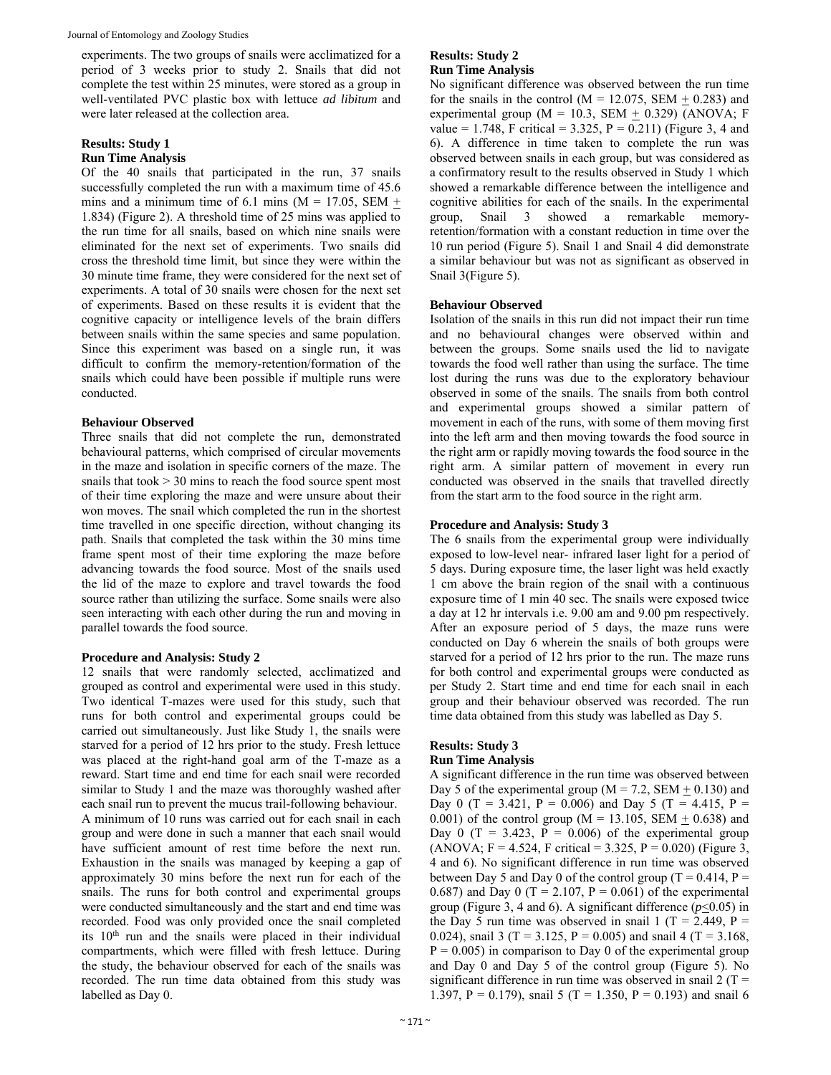Journal of Entomology and Zoology Studies

experiments. The two groups of snails were acclimatized for a period of 3 weeks prior to study 2. Snails that did not complete the test within 25 minutes, were stored as a group in well-ventilated PVC plastic box with lettuce *ad libitum* and were later released at the collection area.

# **Results: Study 1**

# **Run Time Analysis**

Of the 40 snails that participated in the run, 37 snails successfully completed the run with a maximum time of 45.6 mins and a minimum time of 6.1 mins ( $M = 17.05$ , SEM  $+$ 1.834) (Figure 2). A threshold time of 25 mins was applied to the run time for all snails, based on which nine snails were eliminated for the next set of experiments. Two snails did cross the threshold time limit, but since they were within the 30 minute time frame, they were considered for the next set of experiments. A total of 30 snails were chosen for the next set of experiments. Based on these results it is evident that the cognitive capacity or intelligence levels of the brain differs between snails within the same species and same population. Since this experiment was based on a single run, it was difficult to confirm the memory-retention/formation of the snails which could have been possible if multiple runs were conducted.

# **Behaviour Observed**

Three snails that did not complete the run, demonstrated behavioural patterns, which comprised of circular movements in the maze and isolation in specific corners of the maze. The snails that took  $> 30$  mins to reach the food source spent most of their time exploring the maze and were unsure about their won moves. The snail which completed the run in the shortest time travelled in one specific direction, without changing its path. Snails that completed the task within the 30 mins time frame spent most of their time exploring the maze before advancing towards the food source. Most of the snails used the lid of the maze to explore and travel towards the food source rather than utilizing the surface. Some snails were also seen interacting with each other during the run and moving in parallel towards the food source.

#### **Procedure and Analysis: Study 2**

12 snails that were randomly selected, acclimatized and grouped as control and experimental were used in this study. Two identical T-mazes were used for this study, such that runs for both control and experimental groups could be carried out simultaneously. Just like Study 1, the snails were starved for a period of 12 hrs prior to the study. Fresh lettuce was placed at the right-hand goal arm of the T-maze as a reward. Start time and end time for each snail were recorded similar to Study 1 and the maze was thoroughly washed after each snail run to prevent the mucus trail-following behaviour. A minimum of 10 runs was carried out for each snail in each group and were done in such a manner that each snail would have sufficient amount of rest time before the next run. Exhaustion in the snails was managed by keeping a gap of approximately 30 mins before the next run for each of the snails. The runs for both control and experimental groups were conducted simultaneously and the start and end time was recorded. Food was only provided once the snail completed its 10<sup>th</sup> run and the snails were placed in their individual compartments, which were filled with fresh lettuce. During the study, the behaviour observed for each of the snails was recorded. The run time data obtained from this study was labelled as Day 0.

# **Results: Study 2 Run Time Analysis**

No significant difference was observed between the run time for the snails in the control ( $M = 12.075$ , SEM + 0.283) and experimental group ( $M = 10.3$ , SEM + 0.329) (ANOVA; F value = 1.748, F critical = 3.325, P = 0.211) (Figure 3, 4 and 6). A difference in time taken to complete the run was observed between snails in each group, but was considered as a confirmatory result to the results observed in Study 1 which showed a remarkable difference between the intelligence and cognitive abilities for each of the snails. In the experimental group, Snail 3 showed a remarkable memoryretention/formation with a constant reduction in time over the 10 run period (Figure 5). Snail 1 and Snail 4 did demonstrate a similar behaviour but was not as significant as observed in Snail 3(Figure 5).

#### **Behaviour Observed**

Isolation of the snails in this run did not impact their run time and no behavioural changes were observed within and between the groups. Some snails used the lid to navigate towards the food well rather than using the surface. The time lost during the runs was due to the exploratory behaviour observed in some of the snails. The snails from both control and experimental groups showed a similar pattern of movement in each of the runs, with some of them moving first into the left arm and then moving towards the food source in the right arm or rapidly moving towards the food source in the right arm. A similar pattern of movement in every run conducted was observed in the snails that travelled directly from the start arm to the food source in the right arm.

# **Procedure and Analysis: Study 3**

The 6 snails from the experimental group were individually exposed to low-level near- infrared laser light for a period of 5 days. During exposure time, the laser light was held exactly 1 cm above the brain region of the snail with a continuous exposure time of 1 min 40 sec. The snails were exposed twice a day at 12 hr intervals i.e. 9.00 am and 9.00 pm respectively. After an exposure period of 5 days, the maze runs were conducted on Day 6 wherein the snails of both groups were starved for a period of 12 hrs prior to the run. The maze runs for both control and experimental groups were conducted as per Study 2. Start time and end time for each snail in each group and their behaviour observed was recorded. The run time data obtained from this study was labelled as Day 5.

## **Results: Study 3 Run Time Analysis**

A significant difference in the run time was observed between Day 5 of the experimental group ( $M = 7.2$ , SEM  $\pm$  0.130) and Day 0 (T = 3.421, P = 0.006) and Day 5 (T = 4.415, P = 0.001) of the control group ( $M = 13.105$ , SEM  $\pm$  0.638) and Day 0 (T = 3.423, P = 0.006) of the experimental group  $(ANOVA; F = 4.524, F \text{ critical} = 3.325, P = 0.020)$  (Figure 3, 4 and 6). No significant difference in run time was observed between Day 5 and Day 0 of the control group ( $T = 0.414$ ,  $P =$ 0.687) and Day 0 (T = 2.107, P = 0.061) of the experimental group (Figure 3, 4 and 6). A significant difference  $(p<0.05)$  in the Day 5 run time was observed in snail 1 (T = 2.449, P = 0.024), snail 3 (T = 3.125, P = 0.005) and snail 4 (T = 3.168,  $P = 0.005$ ) in comparison to Day 0 of the experimental group and Day 0 and Day 5 of the control group (Figure 5). No significant difference in run time was observed in snail  $2(T =$ 1.397, P = 0.179), snail 5 (T = 1.350, P = 0.193) and snail 6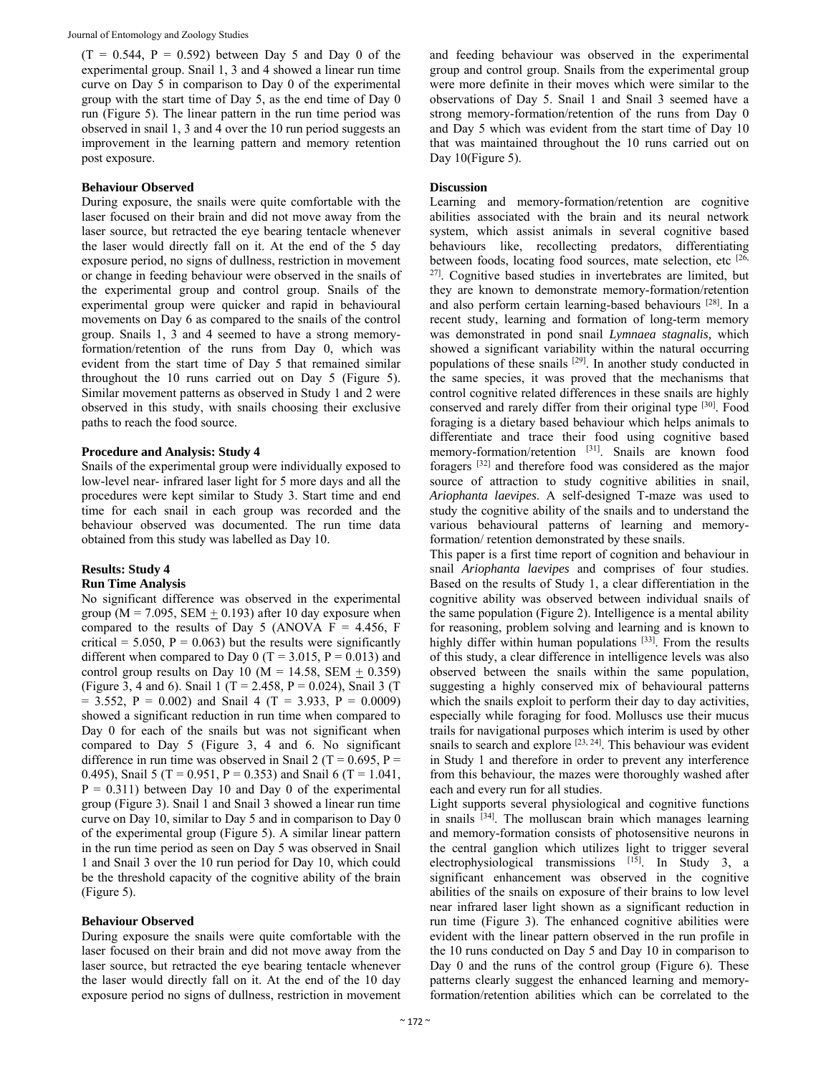$(T = 0.544, P = 0.592)$  between Day 5 and Day 0 of the experimental group. Snail 1, 3 and 4 showed a linear run time curve on Day 5 in comparison to Day 0 of the experimental group with the start time of Day 5, as the end time of Day 0 run (Figure 5). The linear pattern in the run time period was observed in snail 1, 3 and 4 over the 10 run period suggests an improvement in the learning pattern and memory retention post exposure.

# **Behaviour Observed**

During exposure, the snails were quite comfortable with the laser focused on their brain and did not move away from the laser source, but retracted the eye bearing tentacle whenever the laser would directly fall on it. At the end of the 5 day exposure period, no signs of dullness, restriction in movement or change in feeding behaviour were observed in the snails of the experimental group and control group. Snails of the experimental group were quicker and rapid in behavioural movements on Day 6 as compared to the snails of the control group. Snails 1, 3 and 4 seemed to have a strong memoryformation/retention of the runs from Day 0, which was evident from the start time of Day 5 that remained similar throughout the 10 runs carried out on Day 5 (Figure 5). Similar movement patterns as observed in Study 1 and 2 were observed in this study, with snails choosing their exclusive paths to reach the food source.

#### **Procedure and Analysis: Study 4**

Snails of the experimental group were individually exposed to low-level near- infrared laser light for 5 more days and all the procedures were kept similar to Study 3. Start time and end time for each snail in each group was recorded and the behaviour observed was documented. The run time data obtained from this study was labelled as Day 10.

#### **Results: Study 4 Run Time Analysis**

No significant difference was observed in the experimental

group ( $M = 7.095$ , SEM  $\pm$  0.193) after 10 day exposure when compared to the results of Day 5 (ANOVA  $F = 4.456$ , F critical = 5.050,  $P = 0.063$ ) but the results were significantly different when compared to Day 0 (T = 3.015, P =  $0.013$ ) and control group results on Day 10 ( $M = 14.58$ , SEM  $\pm$  0.359) (Figure 3, 4 and 6). Snail 1 (T = 2.458, P = 0.024), Snail 3 (T  $= 3.552$ , P = 0.002) and Snail 4 (T = 3.933, P = 0.0009) showed a significant reduction in run time when compared to Day 0 for each of the snails but was not significant when compared to Day 5 (Figure 3, 4 and 6. No significant difference in run time was observed in Snail 2 (T =  $0.695$ , P = 0.495), Snail 5 (T = 0.951, P = 0.353) and Snail 6 (T = 1.041,  $P = 0.311$ ) between Day 10 and Day 0 of the experimental group (Figure 3). Snail 1 and Snail 3 showed a linear run time curve on Day 10, similar to Day 5 and in comparison to Day 0 of the experimental group (Figure 5). A similar linear pattern in the run time period as seen on Day 5 was observed in Snail 1 and Snail 3 over the 10 run period for Day 10, which could be the threshold capacity of the cognitive ability of the brain (Figure 5).

#### **Behaviour Observed**

During exposure the snails were quite comfortable with the laser focused on their brain and did not move away from the laser source, but retracted the eye bearing tentacle whenever the laser would directly fall on it. At the end of the 10 day exposure period no signs of dullness, restriction in movement

and feeding behaviour was observed in the experimental group and control group. Snails from the experimental group were more definite in their moves which were similar to the observations of Day 5. Snail 1 and Snail 3 seemed have a strong memory-formation/retention of the runs from Day 0 and Day 5 which was evident from the start time of Day 10 that was maintained throughout the 10 runs carried out on Day 10(Figure 5).

# **Discussion**

Learning and memory-formation/retention are cognitive abilities associated with the brain and its neural network system, which assist animals in several cognitive based behaviours like, recollecting predators, differentiating between foods, locating food sources, mate selection, etc [26, 27]. Cognitive based studies in invertebrates are limited, but they are known to demonstrate memory-formation/retention and also perform certain learning-based behaviours [28]. In a recent study, learning and formation of long-term memory was demonstrated in pond snail *Lymnaea stagnalis,* which showed a significant variability within the natural occurring populations of these snails [29]. In another study conducted in the same species, it was proved that the mechanisms that control cognitive related differences in these snails are highly conserved and rarely differ from their original type [30]. Food foraging is a dietary based behaviour which helps animals to differentiate and trace their food using cognitive based memory-formation/retention [31]. Snails are known food foragers [32] and therefore food was considered as the major source of attraction to study cognitive abilities in snail, *Ariophanta laevipes*. A self-designed T-maze was used to study the cognitive ability of the snails and to understand the various behavioural patterns of learning and memoryformation/ retention demonstrated by these snails.

This paper is a first time report of cognition and behaviour in snail *Ariophanta laevipes* and comprises of four studies. Based on the results of Study 1, a clear differentiation in the cognitive ability was observed between individual snails of the same population (Figure 2). Intelligence is a mental ability for reasoning, problem solving and learning and is known to highly differ within human populations [33]. From the results of this study, a clear difference in intelligence levels was also observed between the snails within the same population, suggesting a highly conserved mix of behavioural patterns which the snails exploit to perform their day to day activities, especially while foraging for food. Molluscs use their mucus trails for navigational purposes which interim is used by other snails to search and explore [23, 24]. This behaviour was evident in Study 1 and therefore in order to prevent any interference from this behaviour, the mazes were thoroughly washed after each and every run for all studies.

Light supports several physiological and cognitive functions in snails [34]. The molluscan brain which manages learning and memory-formation consists of photosensitive neurons in the central ganglion which utilizes light to trigger several electrophysiological transmissions  $[15]$ . In Study 3, a significant enhancement was observed in the cognitive abilities of the snails on exposure of their brains to low level near infrared laser light shown as a significant reduction in run time (Figure 3). The enhanced cognitive abilities were evident with the linear pattern observed in the run profile in the 10 runs conducted on Day 5 and Day 10 in comparison to Day 0 and the runs of the control group (Figure 6). These patterns clearly suggest the enhanced learning and memoryformation/retention abilities which can be correlated to the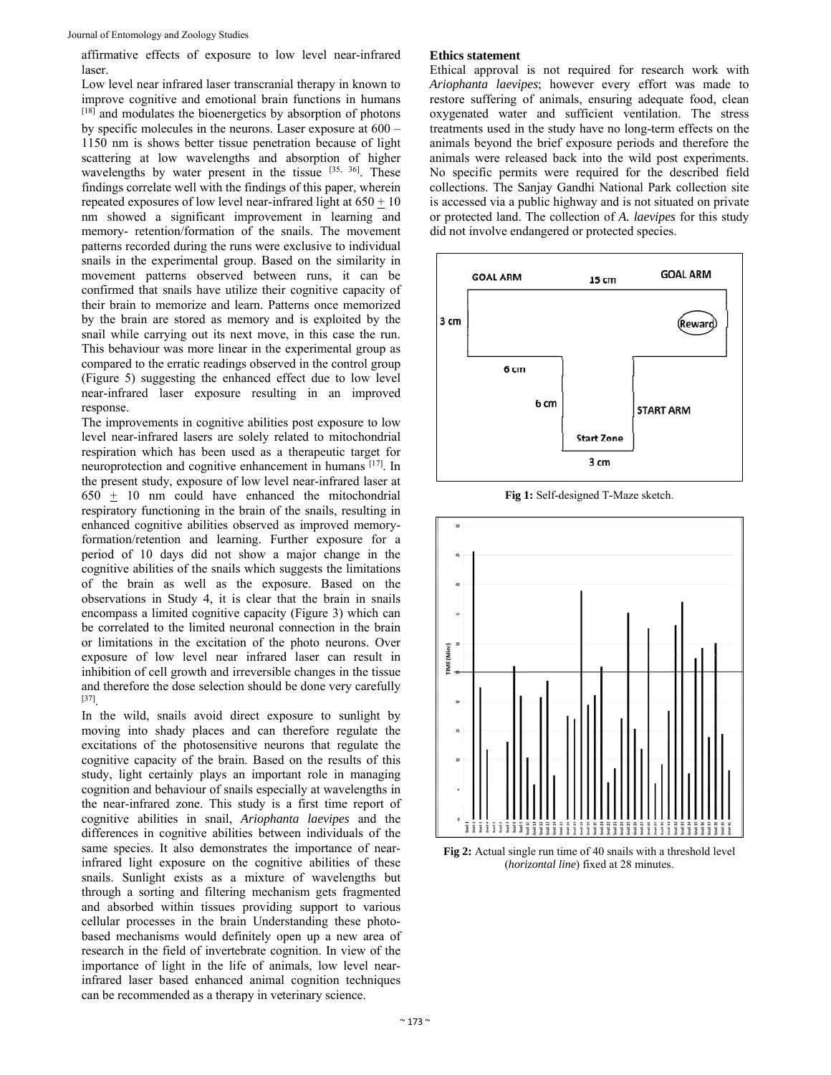affirmative effects of exposure to low level near-infrared laser.

Low level near infrared laser transcranial therapy in known to improve cognitive and emotional brain functions in humans [18] and modulates the bioenergetics by absorption of photons by specific molecules in the neurons. Laser exposure at 600 – 1150 nm is shows better tissue penetration because of light scattering at low wavelengths and absorption of higher wavelengths by water present in the tissue [35, 36]. These findings correlate well with the findings of this paper, wherein repeated exposures of low level near-infrared light at  $650 \pm 10$ nm showed a significant improvement in learning and memory- retention/formation of the snails. The movement patterns recorded during the runs were exclusive to individual snails in the experimental group. Based on the similarity in movement patterns observed between runs, it can be confirmed that snails have utilize their cognitive capacity of their brain to memorize and learn. Patterns once memorized by the brain are stored as memory and is exploited by the snail while carrying out its next move, in this case the run. This behaviour was more linear in the experimental group as compared to the erratic readings observed in the control group (Figure 5) suggesting the enhanced effect due to low level near-infrared laser exposure resulting in an improved response.

The improvements in cognitive abilities post exposure to low level near-infrared lasers are solely related to mitochondrial respiration which has been used as a therapeutic target for neuroprotection and cognitive enhancement in humans [17]. In the present study, exposure of low level near-infrared laser at  $650 + 10$  nm could have enhanced the mitochondrial respiratory functioning in the brain of the snails, resulting in enhanced cognitive abilities observed as improved memoryformation/retention and learning. Further exposure for a period of 10 days did not show a major change in the cognitive abilities of the snails which suggests the limitations of the brain as well as the exposure. Based on the observations in Study 4, it is clear that the brain in snails encompass a limited cognitive capacity (Figure 3) which can be correlated to the limited neuronal connection in the brain or limitations in the excitation of the photo neurons. Over exposure of low level near infrared laser can result in inhibition of cell growth and irreversible changes in the tissue and therefore the dose selection should be done very carefully [37].

In the wild, snails avoid direct exposure to sunlight by moving into shady places and can therefore regulate the excitations of the photosensitive neurons that regulate the cognitive capacity of the brain. Based on the results of this study, light certainly plays an important role in managing cognition and behaviour of snails especially at wavelengths in the near-infrared zone. This study is a first time report of cognitive abilities in snail, *Ariophanta laevipes* and the differences in cognitive abilities between individuals of the same species. It also demonstrates the importance of nearinfrared light exposure on the cognitive abilities of these snails. Sunlight exists as a mixture of wavelengths but through a sorting and filtering mechanism gets fragmented and absorbed within tissues providing support to various cellular processes in the brain Understanding these photobased mechanisms would definitely open up a new area of research in the field of invertebrate cognition. In view of the importance of light in the life of animals, low level nearinfrared laser based enhanced animal cognition techniques can be recommended as a therapy in veterinary science.

#### **Ethics statement**

Ethical approval is not required for research work with *Ariophanta laevipes*; however every effort was made to restore suffering of animals, ensuring adequate food, clean oxygenated water and sufficient ventilation. The stress treatments used in the study have no long-term effects on the animals beyond the brief exposure periods and therefore the animals were released back into the wild post experiments. No specific permits were required for the described field collections. The Sanjay Gandhi National Park collection site is accessed via a public highway and is not situated on private or protected land. The collection of *A. laevipes* for this study did not involve endangered or protected species.



**Fig 1:** Self-designed T-Maze sketch.



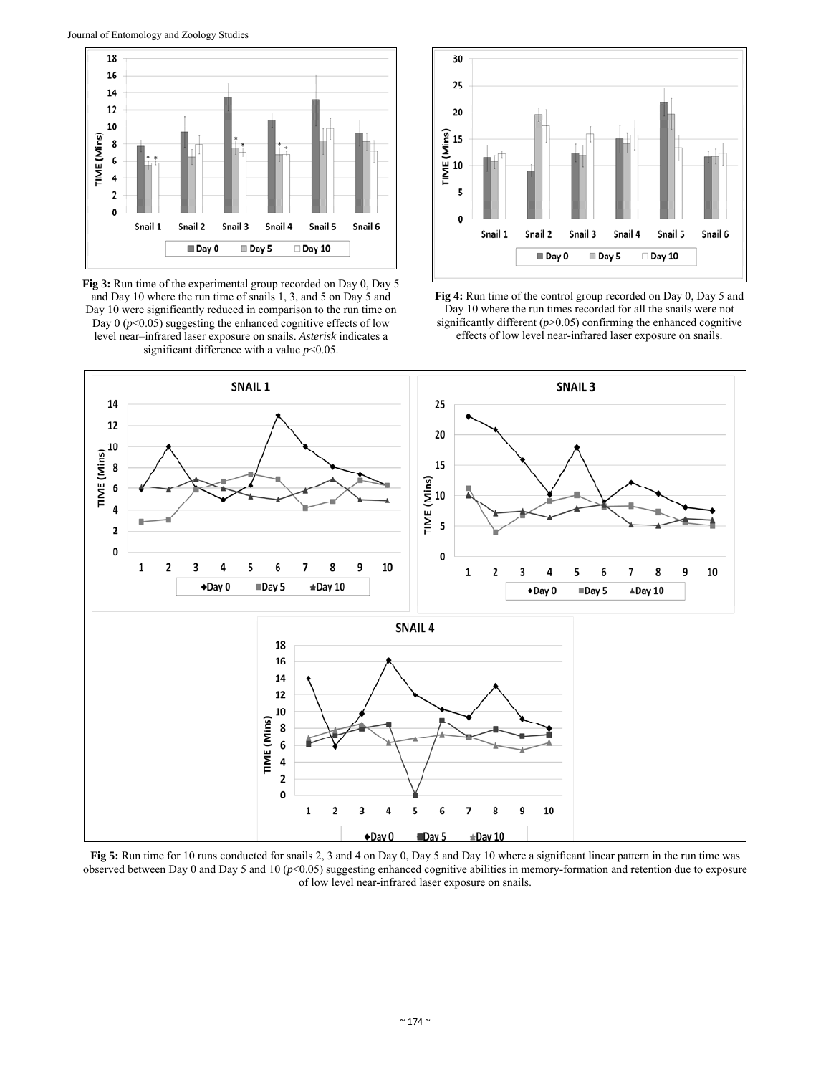

**Fig 3:** Run time of the experimental group recorded on Day 0, Day 5 and Day 10 where the run time of snails 1, 3, and 5 on Day 5 and Day 10 were significantly reduced in comparison to the run time on Day  $0$  ( $p$ <0.05) suggesting the enhanced cognitive effects of low level near–infrared laser exposure on snails. *Asterisk* indicates a significant difference with a value *p*<0.05.







**Fig 5:** Run time for 10 runs conducted for snails 2, 3 and 4 on Day 0, Day 5 and Day 10 where a significant linear pattern in the run time was observed between Day 0 and Day 5 and 10 (*p*<0.05) suggesting enhanced cognitive abilities in memory-formation and retention due to exposure of low level near-infrared laser exposure on snails.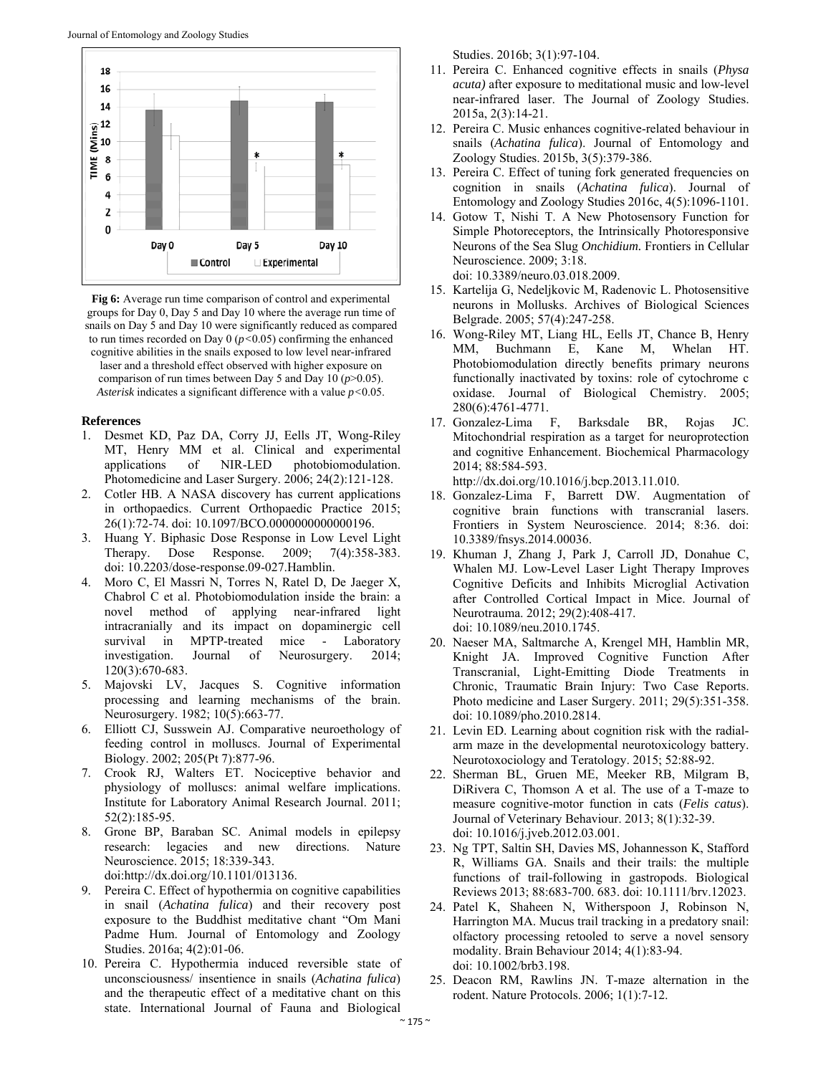

**Fig 6:** Average run time comparison of control and experimental groups for Day 0, Day 5 and Day 10 where the average run time of snails on Day 5 and Day 10 were significantly reduced as compared to run times recorded on Day 0 (*p<*0.05) confirming the enhanced cognitive abilities in the snails exposed to low level near-infrared laser and a threshold effect observed with higher exposure on comparison of run times between Day 5 and Day 10 (*p*>0.05). *Asterisk* indicates a significant difference with a value *p<*0.05.

#### **References**

- 1. Desmet KD, Paz DA, Corry JJ, Eells JT, Wong-Riley MT, Henry MM et al. Clinical and experimental applications of NIR-LED photobiomodulation. Photomedicine and Laser Surgery. 2006; 24(2):121-128.
- 2. Cotler HB. A NASA discovery has current applications in orthopaedics. Current Orthopaedic Practice 2015; 26(1):72-74. doi: 10.1097/BCO.0000000000000196.
- 3. Huang Y. Biphasic Dose Response in Low Level Light Therapy. Dose Response. 2009; 7(4):358-383. doi: 10.2203/dose-response.09-027.Hamblin.
- 4. Moro C, El Massri N, Torres N, Ratel D, De Jaeger X, Chabrol C et al. Photobiomodulation inside the brain: a novel method of applying near-infrared light intracranially and its impact on dopaminergic cell survival in MPTP-treated mice - Laboratory investigation. Journal of Neurosurgery. 2014; 120(3):670-683.
- 5. Majovski LV, Jacques S. Cognitive information processing and learning mechanisms of the brain. Neurosurgery. 1982; 10(5):663-77.
- 6. Elliott CJ, Susswein AJ. Comparative neuroethology of feeding control in molluscs. Journal of Experimental Biology. 2002; 205(Pt 7):877-96.
- 7. Crook RJ, Walters ET. Nociceptive behavior and physiology of molluscs: animal welfare implications. Institute for Laboratory Animal Research Journal. 2011; 52(2):185-95.
- 8. Grone BP, Baraban SC. Animal models in epilepsy research: legacies and new directions. Nature Neuroscience. 2015; 18:339-343.

doi:http://dx.doi.org/10.1101/013136.

- 9. Pereira C. Effect of hypothermia on cognitive capabilities in snail (*Achatina fulica*) and their recovery post exposure to the Buddhist meditative chant "Om Mani Padme Hum. Journal of Entomology and Zoology Studies. 2016a; 4(2):01-06.
- 10. Pereira C. Hypothermia induced reversible state of unconsciousness/ insentience in snails (*Achatina fulica*) and the therapeutic effect of a meditative chant on this state. International Journal of Fauna and Biological

Studies. 2016b; 3(1):97-104.

- 11. Pereira C. Enhanced cognitive effects in snails (*Physa acuta)* after exposure to meditational music and low-level near-infrared laser. The Journal of Zoology Studies. 2015a, 2(3):14-21.
- 12. Pereira C. Music enhances cognitive-related behaviour in snails (*Achatina fulica*). Journal of Entomology and Zoology Studies. 2015b, 3(5):379-386.
- 13. Pereira C. Effect of tuning fork generated frequencies on cognition in snails (*Achatina fulica*). Journal of Entomology and Zoology Studies 2016c, 4(5):1096-1101.
- 14. Gotow T, Nishi T. A New Photosensory Function for Simple Photoreceptors, the Intrinsically Photoresponsive Neurons of the Sea Slug *Onchidium.* Frontiers in Cellular Neuroscience. 2009; 3:18. doi: 10.3389/neuro.03.018.2009.
- 15. Kartelija G, Nedeljkovic M, Radenovic L. Photosensitive neurons in Mollusks. Archives of Biological Sciences Belgrade. 2005; 57(4):247-258.
- 16. Wong-Riley MT, Liang HL, Eells JT, Chance B, Henry MM, Buchmann E, Kane M, Whelan HT. Photobiomodulation directly benefits primary neurons functionally inactivated by toxins: role of cytochrome c oxidase. Journal of Biological Chemistry. 2005; 280(6):4761-4771.
- 17. Gonzalez-Lima F, Barksdale BR, Rojas JC. Mitochondrial respiration as a target for neuroprotection and cognitive Enhancement. Biochemical Pharmacology 2014; 88:584-593.

http://dx.doi.org/10.1016/j.bcp.2013.11.010.

- 18. Gonzalez-Lima F, Barrett DW. Augmentation of cognitive brain functions with transcranial lasers. Frontiers in System Neuroscience. 2014; 8:36. doi: 10.3389/fnsys.2014.00036.
- 19. Khuman J, Zhang J, Park J, Carroll JD, Donahue C, Whalen MJ. Low-Level Laser Light Therapy Improves Cognitive Deficits and Inhibits Microglial Activation after Controlled Cortical Impact in Mice. Journal of Neurotrauma. 2012; 29(2):408-417. doi: 10.1089/neu.2010.1745.
- 20. Naeser MA, Saltmarche A, Krengel MH, Hamblin MR, Knight JA. Improved Cognitive Function After Transcranial, Light-Emitting Diode Treatments in Chronic, Traumatic Brain Injury: Two Case Reports. Photo medicine and Laser Surgery. 2011; 29(5):351-358. doi: 10.1089/pho.2010.2814.
- 21. Levin ED. Learning about cognition risk with the radialarm maze in the developmental neurotoxicology battery. Neurotoxociology and Teratology. 2015; 52:88-92.
- 22. Sherman BL, Gruen ME, Meeker RB, Milgram B, DiRivera C, Thomson A et al. The use of a T-maze to measure cognitive-motor function in cats (*Felis catus*). Journal of Veterinary Behaviour. 2013; 8(1):32-39. doi: 10.1016/j.jveb.2012.03.001.
- 23. Ng TPT, Saltin SH, Davies MS, Johannesson K, Stafford R, Williams GA. Snails and their trails: the multiple functions of trail-following in gastropods. Biological Reviews 2013; 88:683-700. 683. doi: 10.1111/brv.12023.
- 24. Patel K, Shaheen N, Witherspoon J, Robinson N, Harrington MA. Mucus trail tracking in a predatory snail: olfactory processing retooled to serve a novel sensory modality. Brain Behaviour 2014; 4(1):83-94. doi: 10.1002/brb3.198.
- 25. Deacon RM, Rawlins JN. T-maze alternation in the rodent. Nature Protocols. 2006; 1(1):7-12.